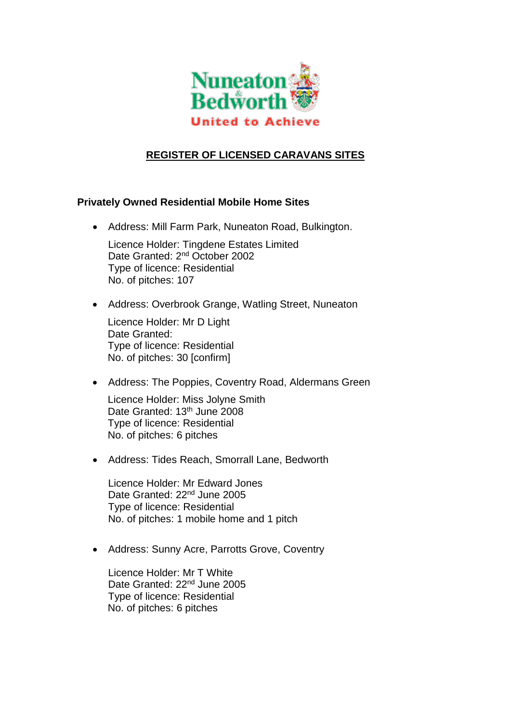

## **REGISTER OF LICENSED CARAVANS SITES**

## **Privately Owned Residential Mobile Home Sites**

- Address: Mill Farm Park, Nuneaton Road, Bulkington. Licence Holder: Tingdene Estates Limited Date Granted: 2<sup>nd</sup> October 2002 Type of licence: Residential No. of pitches: 107
- Address: Overbrook Grange, Watling Street, Nuneaton

Licence Holder: Mr D Light Date Granted: Type of licence: Residential No. of pitches: 30 [confirm]

• Address: The Poppies, Coventry Road, Aldermans Green

Licence Holder: Miss Jolyne Smith Date Granted: 13<sup>th</sup> June 2008 Type of licence: Residential No. of pitches: 6 pitches

Address: Tides Reach, Smorrall Lane, Bedworth

Licence Holder: Mr Edward Jones Date Granted: 22<sup>nd</sup> June 2005 Type of licence: Residential No. of pitches: 1 mobile home and 1 pitch

• Address: Sunny Acre, Parrotts Grove, Coventry

Licence Holder: Mr T White Date Granted: 22<sup>nd</sup> June 2005 Type of licence: Residential No. of pitches: 6 pitches